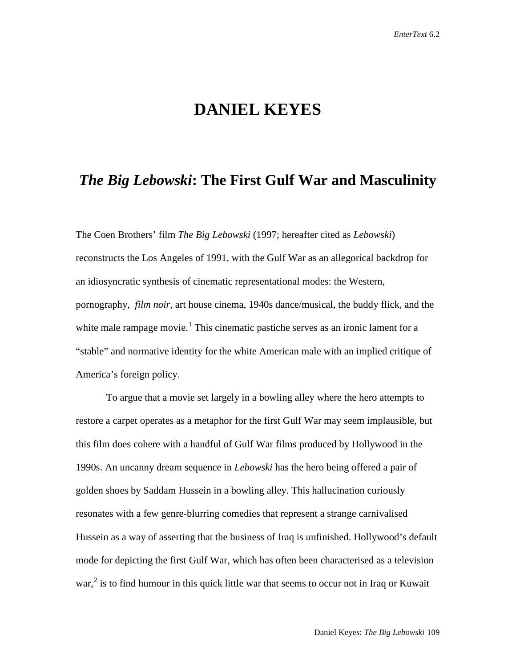## **DANIEL KEYES**

## *The Big Lebowski***: The First Gulf War and Masculinity**

The Coen Brothers' film *The Big Lebowski* (1997; hereafter cited as *Lebowski*) reconstructs the Los Angeles of 1991, with the Gulf War as an allegorical backdrop for an idiosyncratic synthesis of cinematic representational modes: the Western, pornography, *film noir*, art house cinema, 1940s dance/musical, the buddy flick, and the white male rampage movie.<sup>[1](#page-22-0)</sup> This cinematic pastiche serves as an ironic lament for a "stable" and normative identity for the white American male with an implied critique of America's foreign policy.

To argue that a movie set largely in a bowling alley where the hero attempts to restore a carpet operates as a metaphor for the first Gulf War may seem implausible, but this film does cohere with a handful of Gulf War films produced by Hollywood in the 1990s. An uncanny dream sequence in *Lebowski* has the hero being offered a pair of golden shoes by Saddam Hussein in a bowling alley. This hallucination curiously resonates with a few genre-blurring comedies that represent a strange carnivalised Hussein as a way of asserting that the business of Iraq is unfinished. Hollywood's default mode for depicting the first Gulf War, which has often been characterised as a television war, $2$  is to find humour in this quick little war that seems to occur not in Iraq or Kuwait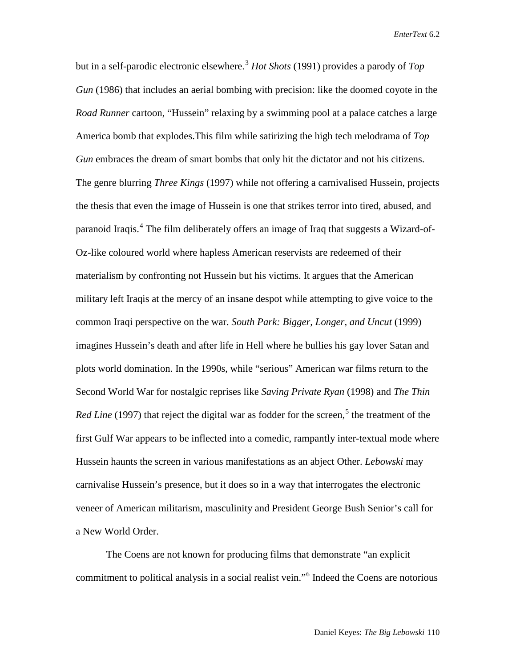but in a self-parodic electronic elsewhere.[3](#page-23-0) *Hot Shots* (1991) provides a parody of *Top Gun* (1986) that includes an aerial bombing with precision: like the doomed coyote in the *Road Runner* cartoon, "Hussein" relaxing by a swimming pool at a palace catches a large America bomb that explodes.This film while satirizing the high tech melodrama of *Top Gun* embraces the dream of smart bombs that only hit the dictator and not his citizens. The genre blurring *Three Kings* (1997) while not offering a carnivalised Hussein, projects the thesis that even the image of Hussein is one that strikes terror into tired, abused, and paranoid Iraqis.<sup>[4](#page-23-1)</sup> The film deliberately offers an image of Iraq that suggests a Wizard-of-Oz-like coloured world where hapless American reservists are redeemed of their materialism by confronting not Hussein but his victims. It argues that the American military left Iraqis at the mercy of an insane despot while attempting to give voice to the common Iraqi perspective on the war. *South Park: Bigger, Longer, and Uncut* (1999) imagines Hussein's death and after life in Hell where he bullies his gay lover Satan and plots world domination. In the 1990s, while "serious" American war films return to the Second World War for nostalgic reprises like *Saving Private Ryan* (1998) and *The Thin Red Line* (1997) that reject the digital war as fodder for the screen,<sup>[5](#page-23-2)</sup> the treatment of the first Gulf War appears to be inflected into a comedic, rampantly inter-textual mode where Hussein haunts the screen in various manifestations as an abject Other. *Lebowski* may carnivalise Hussein's presence, but it does so in a way that interrogates the electronic veneer of American militarism, masculinity and President George Bush Senior's call for a New World Order.

The Coens are not known for producing films that demonstrate "an explicit commitment to political analysis in a social realist vein."[6](#page-23-3) Indeed the Coens are notorious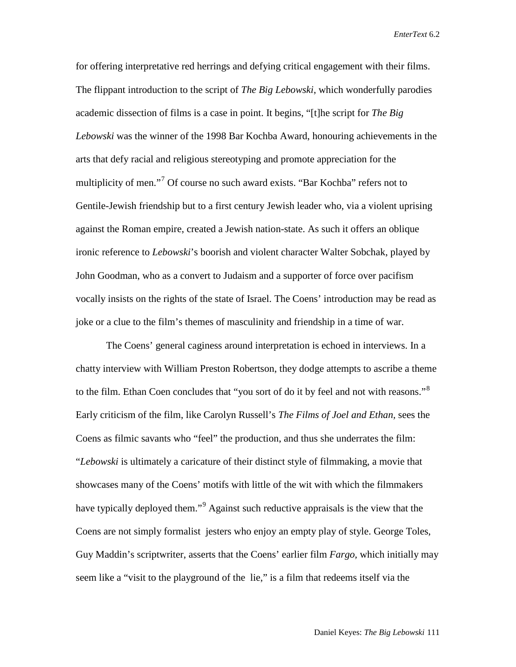for offering interpretative red herrings and defying critical engagement with their films. The flippant introduction to the script of *The Big Lebowski*, which wonderfully parodies academic dissection of films is a case in point. It begins, "[t]he script for *The Big Lebowski* was the winner of the 1998 Bar Kochba Award, honouring achievements in the arts that defy racial and religious stereotyping and promote appreciation for the multiplicity of men."<sup>[7](#page-24-0)</sup> Of course no such award exists. "Bar Kochba" refers not to Gentile-Jewish friendship but to a first century Jewish leader who, via a violent uprising against the Roman empire, created a Jewish nation-state. As such it offers an oblique ironic reference to *Lebowski*'s boorish and violent character Walter Sobchak, played by John Goodman, who as a convert to Judaism and a supporter of force over pacifism vocally insists on the rights of the state of Israel. The Coens' introduction may be read as joke or a clue to the film's themes of masculinity and friendship in a time of war.

The Coens' general caginess around interpretation is echoed in interviews. In a chatty interview with William Preston Robertson, they dodge attempts to ascribe a theme to the film. Ethan Coen concludes that "you sort of do it by feel and not with reasons."[8](#page-24-1) Early criticism of the film, like Carolyn Russell's *The Films of Joel and Ethan,* sees the Coens as filmic savants who "feel" the production, and thus she underrates the film: "*Lebowski* is ultimately a caricature of their distinct style of filmmaking, a movie that showcases many of the Coens' motifs with little of the wit with which the filmmakers have typically deployed them."<sup>[9](#page-24-2)</sup> Against such reductive appraisals is the view that the Coens are not simply formalist jesters who enjoy an empty play of style. George Toles, Guy Maddin's scriptwriter, asserts that the Coens' earlier film *Fargo,* which initially may seem like a "visit to the playground of the lie," is a film that redeems itself via the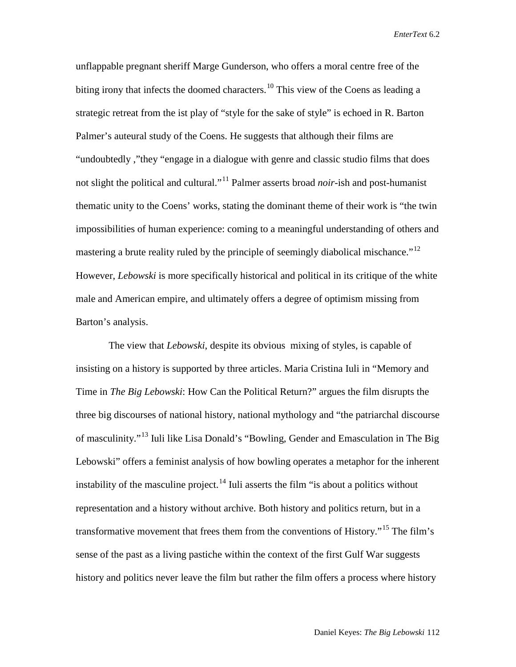unflappable pregnant sheriff Marge Gunderson, who offers a moral centre free of the biting irony that infects the doomed characters.<sup>[10](#page-24-3)</sup> This view of the Coens as leading a strategic retreat from the ist play of "style for the sake of style" is echoed in R. Barton Palmer's auteural study of the Coens. He suggests that although their films are "undoubtedly ,"they "engage in a dialogue with genre and classic studio films that does not slight the political and cultural."[11](#page-24-4) Palmer asserts broad *noir-*ish and post-humanist thematic unity to the Coens' works, stating the dominant theme of their work is "the twin impossibilities of human experience: coming to a meaningful understanding of others and mastering a brute reality ruled by the principle of seemingly diabolical mischance."<sup>[12](#page-24-5)</sup> However, *Lebowski* is more specifically historical and political in its critique of the white male and American empire, and ultimately offers a degree of optimism missing from Barton's analysis.

The view that *Lebowski*, despite its obvious mixing of styles, is capable of insisting on a history is supported by three articles. Maria Cristina Iuli in "Memory and Time in *The Big Lebowski*: How Can the Political Return?" argues the film disrupts the three big discourses of national history, national mythology and "the patriarchal discourse of masculinity."[13](#page-24-6) Iuli like Lisa Donald's "Bowling, Gender and Emasculation in The Big Lebowski" offers a feminist analysis of how bowling operates a metaphor for the inherent instability of the masculine project.<sup>[14](#page-24-7)</sup> Iuli asserts the film "is about a politics without representation and a history without archive. Both history and politics return, but in a transformative movement that frees them from the conventions of History.<sup>"[15](#page-24-8)</sup> The film's sense of the past as a living pastiche within the context of the first Gulf War suggests history and politics never leave the film but rather the film offers a process where history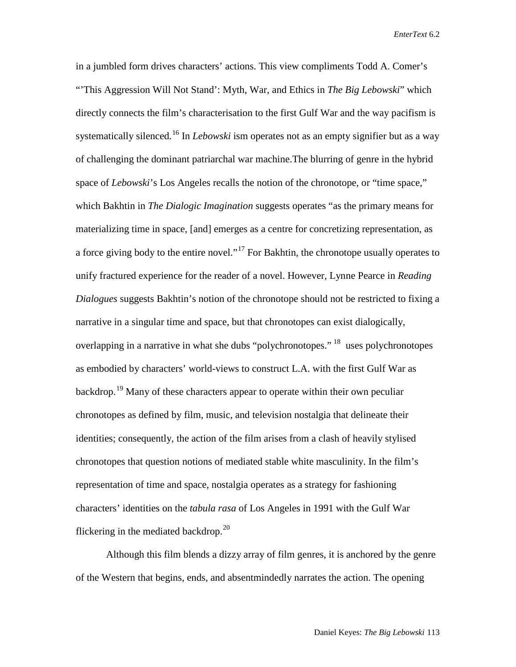in a jumbled form drives characters' actions. This view compliments Todd A. Comer's "'This Aggression Will Not Stand': Myth, War, and Ethics in *The Big Lebowski*" which directly connects the film's characterisation to the first Gulf War and the way pacifism is systematically silenced.<sup>[16](#page-24-9)</sup> In *Lebowski* ism operates not as an empty signifier but as a way of challenging the dominant patriarchal war machine.The blurring of genre in the hybrid space of *Lebowski*'s Los Angeles recalls the notion of the chronotope, or "time space," which Bakhtin in *The Dialogic Imagination* suggests operates "as the primary means for materializing time in space, [and] emerges as a centre for concretizing representation, as a force giving body to the entire novel."<sup>[17](#page-24-10)</sup> For Bakhtin, the chronotope usually operates to unify fractured experience for the reader of a novel. However, Lynne Pearce in *Reading Dialogues* suggests Bakhtin's notion of the chronotope should not be restricted to fixing a narrative in a singular time and space, but that chronotopes can exist dialogically, overlapping in a narrative in what she dubs "polychronotopes." <sup>[18](#page-24-11)</sup> uses polychronotopes as embodied by characters' world-views to construct L.A. with the first Gulf War as backdrop.<sup>[19](#page-24-12)</sup> Many of these characters appear to operate within their own peculiar chronotopes as defined by film, music, and television nostalgia that delineate their identities; consequently, the action of the film arises from a clash of heavily stylised chronotopes that question notions of mediated stable white masculinity. In the film's representation of time and space, nostalgia operates as a strategy for fashioning characters' identities on the *tabula rasa* of Los Angeles in 1991 with the Gulf War flickering in the mediated backdrop. $^{20}$ 

Although this film blends a dizzy array of film genres, it is anchored by the genre of the Western that begins, ends, and absentmindedly narrates the action. The opening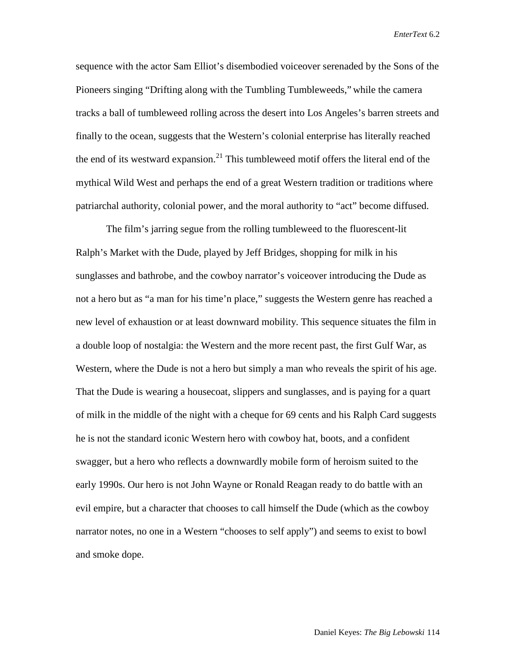sequence with the actor Sam Elliot's disembodied voiceover serenaded by the Sons of the Pioneers singing "Drifting along with the Tumbling Tumbleweeds," while the camera tracks a ball of tumbleweed rolling across the desert into Los Angeles's barren streets and finally to the ocean, suggests that the Western's colonial enterprise has literally reached the end of its westward expansion.<sup>[21](#page-24-14)</sup> This tumbleweed motif offers the literal end of the mythical Wild West and perhaps the end of a great Western tradition or traditions where patriarchal authority, colonial power, and the moral authority to "act" become diffused.

The film's jarring segue from the rolling tumbleweed to the fluorescent-lit Ralph's Market with the Dude, played by Jeff Bridges, shopping for milk in his sunglasses and bathrobe, and the cowboy narrator's voiceover introducing the Dude as not a hero but as "a man for his time'n place," suggests the Western genre has reached a new level of exhaustion or at least downward mobility. This sequence situates the film in a double loop of nostalgia: the Western and the more recent past, the first Gulf War, as Western, where the Dude is not a hero but simply a man who reveals the spirit of his age. That the Dude is wearing a housecoat, slippers and sunglasses, and is paying for a quart of milk in the middle of the night with a cheque for 69 cents and his Ralph Card suggests he is not the standard iconic Western hero with cowboy hat, boots, and a confident swagger, but a hero who reflects a downwardly mobile form of heroism suited to the early 1990s. Our hero is not John Wayne or Ronald Reagan ready to do battle with an evil empire, but a character that chooses to call himself the Dude (which as the cowboy narrator notes, no one in a Western "chooses to self apply") and seems to exist to bowl and smoke dope.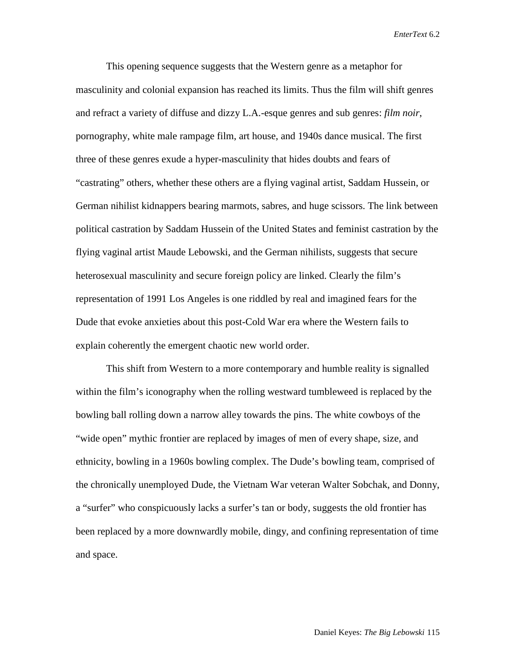This opening sequence suggests that the Western genre as a metaphor for masculinity and colonial expansion has reached its limits. Thus the film will shift genres and refract a variety of diffuse and dizzy L.A.-esque genres and sub genres: *film noir*, pornography, white male rampage film, art house, and 1940s dance musical. The first three of these genres exude a hyper-masculinity that hides doubts and fears of "castrating" others, whether these others are a flying vaginal artist, Saddam Hussein, or German nihilist kidnappers bearing marmots, sabres, and huge scissors. The link between political castration by Saddam Hussein of the United States and feminist castration by the flying vaginal artist Maude Lebowski, and the German nihilists, suggests that secure heterosexual masculinity and secure foreign policy are linked. Clearly the film's representation of 1991 Los Angeles is one riddled by real and imagined fears for the Dude that evoke anxieties about this post-Cold War era where the Western fails to explain coherently the emergent chaotic new world order.

This shift from Western to a more contemporary and humble reality is signalled within the film's iconography when the rolling westward tumbleweed is replaced by the bowling ball rolling down a narrow alley towards the pins. The white cowboys of the "wide open" mythic frontier are replaced by images of men of every shape, size, and ethnicity, bowling in a 1960s bowling complex. The Dude's bowling team, comprised of the chronically unemployed Dude, the Vietnam War veteran Walter Sobchak, and Donny, a "surfer" who conspicuously lacks a surfer's tan or body, suggests the old frontier has been replaced by a more downwardly mobile, dingy, and confining representation of time and space.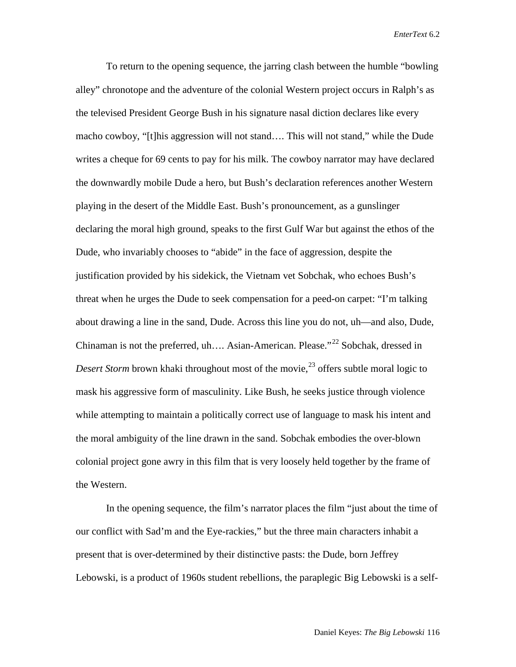To return to the opening sequence, the jarring clash between the humble "bowling alley" chronotope and the adventure of the colonial Western project occurs in Ralph's as the televised President George Bush in his signature nasal diction declares like every macho cowboy, "[t]his aggression will not stand…. This will not stand," while the Dude writes a cheque for 69 cents to pay for his milk. The cowboy narrator may have declared the downwardly mobile Dude a hero, but Bush's declaration references another Western playing in the desert of the Middle East. Bush's pronouncement, as a gunslinger declaring the moral high ground, speaks to the first Gulf War but against the ethos of the Dude, who invariably chooses to "abide" in the face of aggression, despite the justification provided by his sidekick, the Vietnam vet Sobchak, who echoes Bush's threat when he urges the Dude to seek compensation for a peed-on carpet: "I'm talking about drawing a line in the sand, Dude. Across this line you do not, uh—and also, Dude, Chinaman is not the preferred, uh.... Asian-American. Please."<sup>[22](#page-24-15)</sup> Sobchak, dressed in *Desert Storm* brown khaki throughout most of the movie,<sup>[23](#page-24-16)</sup> offers subtle moral logic to mask his aggressive form of masculinity. Like Bush, he seeks justice through violence while attempting to maintain a politically correct use of language to mask his intent and the moral ambiguity of the line drawn in the sand. Sobchak embodies the over-blown colonial project gone awry in this film that is very loosely held together by the frame of the Western.

In the opening sequence, the film's narrator places the film "just about the time of our conflict with Sad'm and the Eye-rackies," but the three main characters inhabit a present that is over-determined by their distinctive pasts: the Dude, born Jeffrey Lebowski, is a product of 1960s student rebellions, the paraplegic Big Lebowski is a self-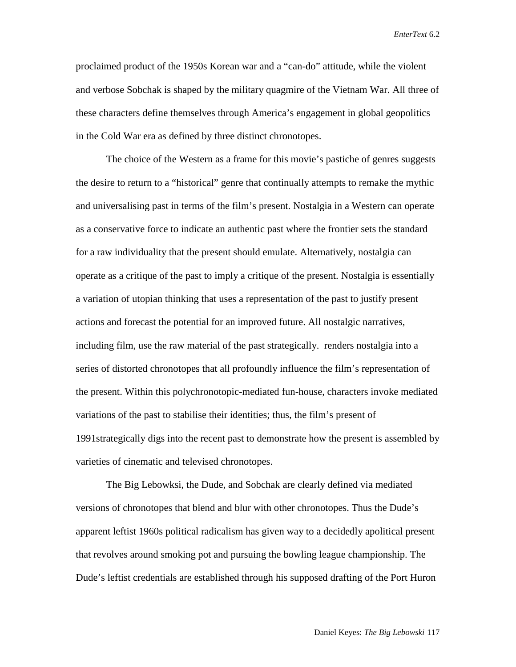proclaimed product of the 1950s Korean war and a "can-do" attitude, while the violent and verbose Sobchak is shaped by the military quagmire of the Vietnam War. All three of these characters define themselves through America's engagement in global geopolitics in the Cold War era as defined by three distinct chronotopes.

The choice of the Western as a frame for this movie's pastiche of genres suggests the desire to return to a "historical" genre that continually attempts to remake the mythic and universalising past in terms of the film's present. Nostalgia in a Western can operate as a conservative force to indicate an authentic past where the frontier sets the standard for a raw individuality that the present should emulate. Alternatively, nostalgia can operate as a critique of the past to imply a critique of the present. Nostalgia is essentially a variation of utopian thinking that uses a representation of the past to justify present actions and forecast the potential for an improved future. All nostalgic narratives, including film, use the raw material of the past strategically. renders nostalgia into a series of distorted chronotopes that all profoundly influence the film's representation of the present. Within this polychronotopic-mediated fun-house, characters invoke mediated variations of the past to stabilise their identities; thus, the film's present of 1991strategically digs into the recent past to demonstrate how the present is assembled by varieties of cinematic and televised chronotopes.

The Big Lebowksi, the Dude, and Sobchak are clearly defined via mediated versions of chronotopes that blend and blur with other chronotopes. Thus the Dude's apparent leftist 1960s political radicalism has given way to a decidedly apolitical present that revolves around smoking pot and pursuing the bowling league championship. The Dude's leftist credentials are established through his supposed drafting of the Port Huron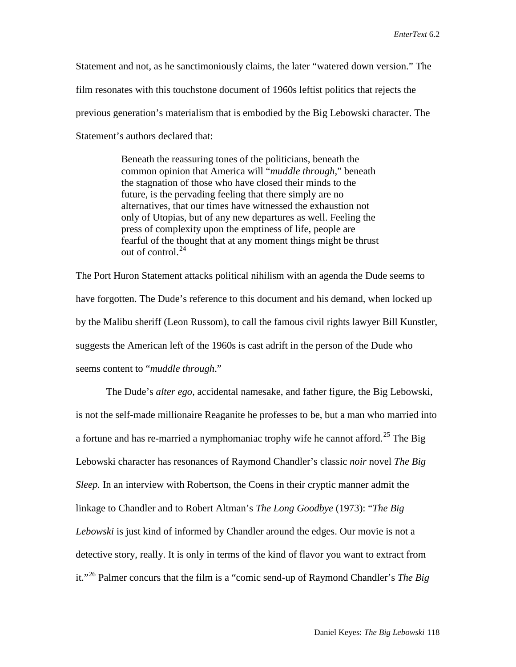Statement and not, as he sanctimoniously claims, the later "watered down version." The film resonates with this touchstone document of 1960s leftist politics that rejects the previous generation's materialism that is embodied by the Big Lebowski character. The Statement's authors declared that:

> Beneath the reassuring tones of the politicians, beneath the common opinion that America will "*muddle through*," beneath the stagnation of those who have closed their minds to the future, is the pervading feeling that there simply are no alternatives, that our times have witnessed the exhaustion not only of Utopias, but of any new departures as well. Feeling the press of complexity upon the emptiness of life, people are fearful of the thought that at any moment things might be thrust out of control.<sup>[24](#page-24-17)</sup>

The Port Huron Statement attacks political nihilism with an agenda the Dude seems to have forgotten. The Dude's reference to this document and his demand, when locked up by the Malibu sheriff (Leon Russom), to call the famous civil rights lawyer Bill Kunstler, suggests the American left of the 1960s is cast adrift in the person of the Dude who seems content to "*muddle through*."

The Dude's *alter ego*, accidental namesake, and father figure, the Big Lebowski, is not the self-made millionaire Reaganite he professes to be, but a man who married into a fortune and has re-married a nymphomaniac trophy wife he cannot afford.<sup>[25](#page-24-18)</sup> The Big Lebowski character has resonances of Raymond Chandler's classic *noir* novel *The Big Sleep.* In an interview with Robertson, the Coens in their cryptic manner admit the linkage to Chandler and to Robert Altman's *The Long Goodbye* (1973): "*The Big Lebowski* is just kind of informed by Chandler around the edges. Our movie is not a detective story, really. It is only in terms of the kind of flavor you want to extract from it."[26](#page-24-19) Palmer concurs that the film is a "comic send-up of Raymond Chandler's *The Big*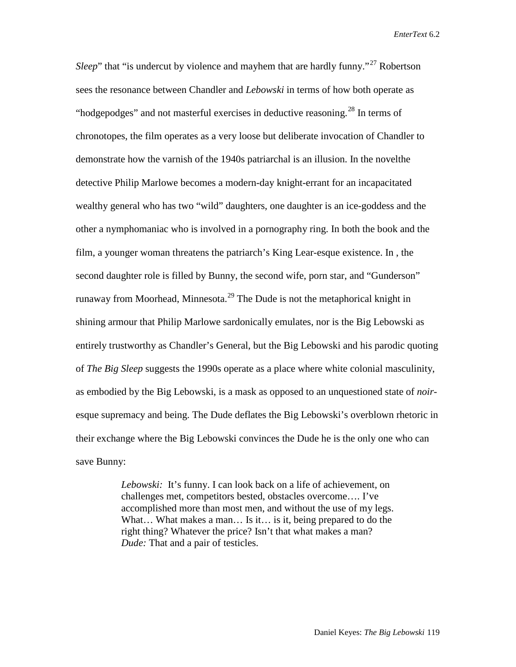*Sleep*" that "is undercut by violence and mayhem that are hardly funny."<sup>[27](#page-24-20)</sup> Robertson sees the resonance between Chandler and *Lebowski* in terms of how both operate as "hodgepodges" and not masterful exercises in deductive reasoning.<sup>[28](#page-24-4)</sup> In terms of chronotopes, the film operates as a very loose but deliberate invocation of Chandler to demonstrate how the varnish of the 1940s patriarchal is an illusion. In the novelthe detective Philip Marlowe becomes a modern-day knight-errant for an incapacitated wealthy general who has two "wild" daughters, one daughter is an ice-goddess and the other a nymphomaniac who is involved in a pornography ring. In both the book and the film, a younger woman threatens the patriarch's King Lear-esque existence. In , the second daughter role is filled by Bunny, the second wife, porn star, and "Gunderson" runaway from Moorhead, Minnesota.<sup>[29](#page-24-5)</sup> The Dude is not the metaphorical knight in shining armour that Philip Marlowe sardonically emulates, nor is the Big Lebowski as entirely trustworthy as Chandler's General, but the Big Lebowski and his parodic quoting of *The Big Sleep* suggests the 1990s operate as a place where white colonial masculinity, as embodied by the Big Lebowski, is a mask as opposed to an unquestioned state of *noir*esque supremacy and being. The Dude deflates the Big Lebowski's overblown rhetoric in their exchange where the Big Lebowski convinces the Dude he is the only one who can save Bunny:

> *Lebowski:* It's funny. I can look back on a life of achievement, on challenges met, competitors bested, obstacles overcome…. I've accomplished more than most men, and without the use of my legs. What... What makes a man... Is it... is it, being prepared to do the right thing? Whatever the price? Isn't that what makes a man? *Dude:* That and a pair of testicles.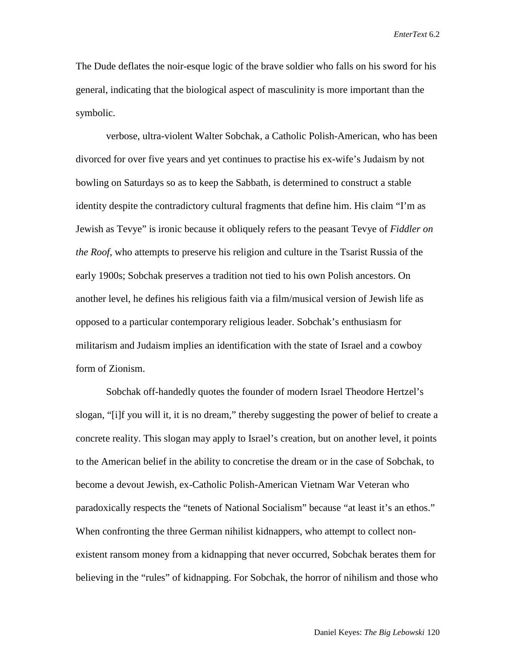The Dude deflates the noir-esque logic of the brave soldier who falls on his sword for his general, indicating that the biological aspect of masculinity is more important than the symbolic.

verbose, ultra-violent Walter Sobchak, a Catholic Polish-American, who has been divorced for over five years and yet continues to practise his ex-wife's Judaism by not bowling on Saturdays so as to keep the Sabbath, is determined to construct a stable identity despite the contradictory cultural fragments that define him. His claim "I'm as Jewish as Tevye" is ironic because it obliquely refers to the peasant Tevye of *Fiddler on the Roof*, who attempts to preserve his religion and culture in the Tsarist Russia of the early 1900s; Sobchak preserves a tradition not tied to his own Polish ancestors. On another level, he defines his religious faith via a film/musical version of Jewish life as opposed to a particular contemporary religious leader. Sobchak's enthusiasm for militarism and Judaism implies an identification with the state of Israel and a cowboy form of Zionism.

Sobchak off-handedly quotes the founder of modern Israel Theodore Hertzel's slogan, "[i]f you will it, it is no dream," thereby suggesting the power of belief to create a concrete reality. This slogan may apply to Israel's creation, but on another level, it points to the American belief in the ability to concretise the dream or in the case of Sobchak, to become a devout Jewish, ex-Catholic Polish-American Vietnam War Veteran who paradoxically respects the "tenets of National Socialism" because "at least it's an ethos." When confronting the three German nihilist kidnappers, who attempt to collect nonexistent ransom money from a kidnapping that never occurred, Sobchak berates them for believing in the "rules" of kidnapping. For Sobchak, the horror of nihilism and those who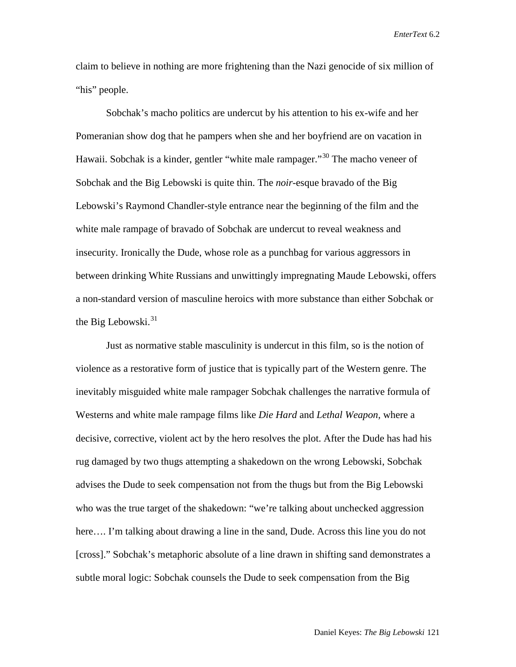claim to believe in nothing are more frightening than the Nazi genocide of six million of "his" people.

Sobchak's macho politics are undercut by his attention to his ex-wife and her Pomeranian show dog that he pampers when she and her boyfriend are on vacation in Hawaii. Sobchak is a kinder, gentler "white male rampager."<sup>[30](#page-24-21)</sup> The macho veneer of Sobchak and the Big Lebowski is quite thin. The *noir*-esque bravado of the Big Lebowski's Raymond Chandler-style entrance near the beginning of the film and the white male rampage of bravado of Sobchak are undercut to reveal weakness and insecurity. Ironically the Dude, whose role as a punchbag for various aggressors in between drinking White Russians and unwittingly impregnating Maude Lebowski, offers a non-standard version of masculine heroics with more substance than either Sobchak or the Big Lebowski. $31$ 

Just as normative stable masculinity is undercut in this film, so is the notion of violence as a restorative form of justice that is typically part of the Western genre. The inevitably misguided white male rampager Sobchak challenges the narrative formula of Westerns and white male rampage films like *Die Hard* and *Lethal Weapon,* where a decisive, corrective, violent act by the hero resolves the plot. After the Dude has had his rug damaged by two thugs attempting a shakedown on the wrong Lebowski, Sobchak advises the Dude to seek compensation not from the thugs but from the Big Lebowski who was the true target of the shakedown: "we're talking about unchecked aggression here.... I'm talking about drawing a line in the sand, Dude. Across this line you do not [cross]." Sobchak's metaphoric absolute of a line drawn in shifting sand demonstrates a subtle moral logic: Sobchak counsels the Dude to seek compensation from the Big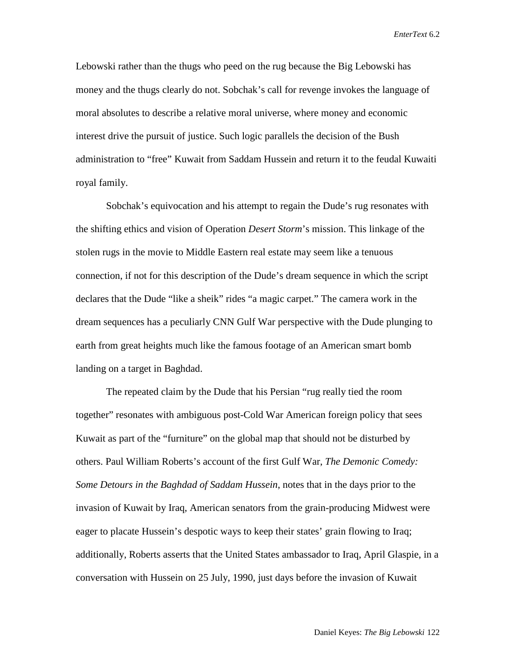Lebowski rather than the thugs who peed on the rug because the Big Lebowski has money and the thugs clearly do not. Sobchak's call for revenge invokes the language of moral absolutes to describe a relative moral universe, where money and economic interest drive the pursuit of justice. Such logic parallels the decision of the Bush administration to "free" Kuwait from Saddam Hussein and return it to the feudal Kuwaiti royal family.

Sobchak's equivocation and his attempt to regain the Dude's rug resonates with the shifting ethics and vision of Operation *Desert Storm*'s mission. This linkage of the stolen rugs in the movie to Middle Eastern real estate may seem like a tenuous connection, if not for this description of the Dude's dream sequence in which the script declares that the Dude "like a sheik" rides "a magic carpet." The camera work in the dream sequences has a peculiarly CNN Gulf War perspective with the Dude plunging to earth from great heights much like the famous footage of an American smart bomb landing on a target in Baghdad.

The repeated claim by the Dude that his Persian "rug really tied the room together" resonates with ambiguous post-Cold War American foreign policy that sees Kuwait as part of the "furniture" on the global map that should not be disturbed by others. Paul William Roberts's account of the first Gulf War, *The Demonic Comedy: Some Detours in the Baghdad of Saddam Hussein*, notes that in the days prior to the invasion of Kuwait by Iraq, American senators from the grain-producing Midwest were eager to placate Hussein's despotic ways to keep their states' grain flowing to Iraq; additionally, Roberts asserts that the United States ambassador to Iraq, April Glaspie, in a conversation with Hussein on 25 July, 1990, just days before the invasion of Kuwait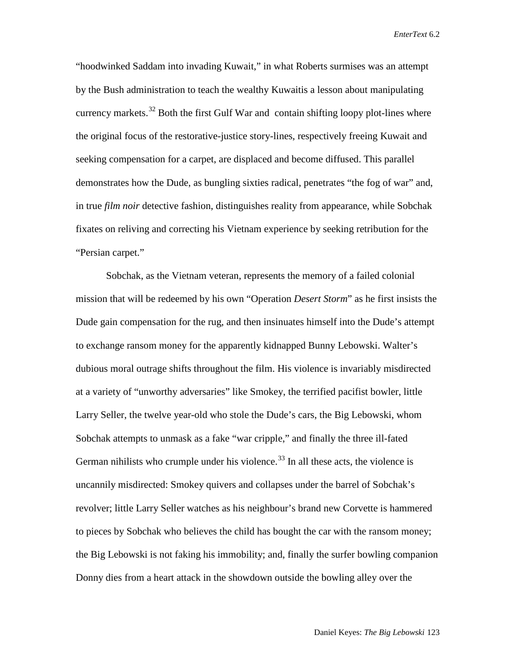"hoodwinked Saddam into invading Kuwait," in what Roberts surmises was an attempt by the Bush administration to teach the wealthy Kuwaitis a lesson about manipulating currency markets.<sup>[32](#page-24-9)</sup> Both the first Gulf War and contain shifting loopy plot-lines where the original focus of the restorative-justice story-lines, respectively freeing Kuwait and seeking compensation for a carpet, are displaced and become diffused. This parallel demonstrates how the Dude, as bungling sixties radical, penetrates "the fog of war" and, in true *film noir* detective fashion, distinguishes reality from appearance, while Sobchak fixates on reliving and correcting his Vietnam experience by seeking retribution for the "Persian carpet."

Sobchak, as the Vietnam veteran, represents the memory of a failed colonial mission that will be redeemed by his own "Operation *Desert Storm*" as he first insists the Dude gain compensation for the rug, and then insinuates himself into the Dude's attempt to exchange ransom money for the apparently kidnapped Bunny Lebowski. Walter's dubious moral outrage shifts throughout the film. His violence is invariably misdirected at a variety of "unworthy adversaries" like Smokey, the terrified pacifist bowler, little Larry Seller, the twelve year-old who stole the Dude's cars, the Big Lebowski, whom Sobchak attempts to unmask as a fake "war cripple," and finally the three ill-fated German nihilists who crumple under his violence.<sup>[33](#page-24-10)</sup> In all these acts, the violence is uncannily misdirected: Smokey quivers and collapses under the barrel of Sobchak's revolver; little Larry Seller watches as his neighbour's brand new Corvette is hammered to pieces by Sobchak who believes the child has bought the car with the ransom money; the Big Lebowski is not faking his immobility; and, finally the surfer bowling companion Donny dies from a heart attack in the showdown outside the bowling alley over the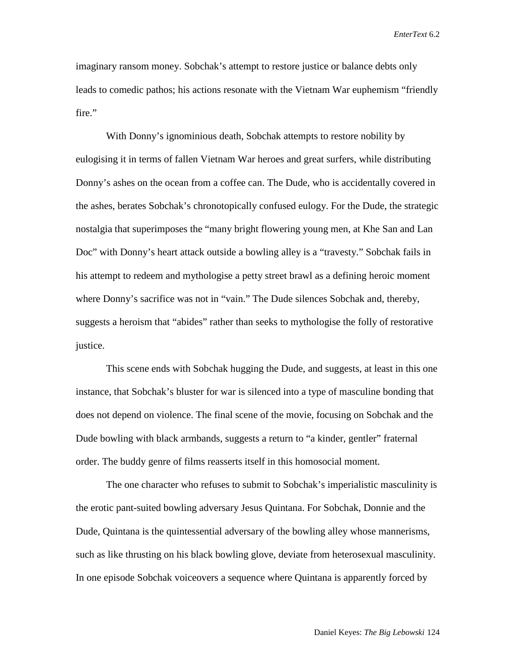imaginary ransom money. Sobchak's attempt to restore justice or balance debts only leads to comedic pathos; his actions resonate with the Vietnam War euphemism "friendly fire."

With Donny's ignominious death, Sobchak attempts to restore nobility by eulogising it in terms of fallen Vietnam War heroes and great surfers, while distributing Donny's ashes on the ocean from a coffee can. The Dude, who is accidentally covered in the ashes, berates Sobchak's chronotopically confused eulogy. For the Dude, the strategic nostalgia that superimposes the "many bright flowering young men, at Khe San and Lan Doc" with Donny's heart attack outside a bowling alley is a "travesty." Sobchak fails in his attempt to redeem and mythologise a petty street brawl as a defining heroic moment where Donny's sacrifice was not in "vain." The Dude silences Sobchak and, thereby, suggests a heroism that "abides" rather than seeks to mythologise the folly of restorative justice.

This scene ends with Sobchak hugging the Dude, and suggests, at least in this one instance, that Sobchak's bluster for war is silenced into a type of masculine bonding that does not depend on violence. The final scene of the movie, focusing on Sobchak and the Dude bowling with black armbands, suggests a return to "a kinder, gentler" fraternal order. The buddy genre of films reasserts itself in this homosocial moment.

The one character who refuses to submit to Sobchak's imperialistic masculinity is the erotic pant-suited bowling adversary Jesus Quintana. For Sobchak, Donnie and the Dude, Quintana is the quintessential adversary of the bowling alley whose mannerisms, such as like thrusting on his black bowling glove, deviate from heterosexual masculinity. In one episode Sobchak voiceovers a sequence where Quintana is apparently forced by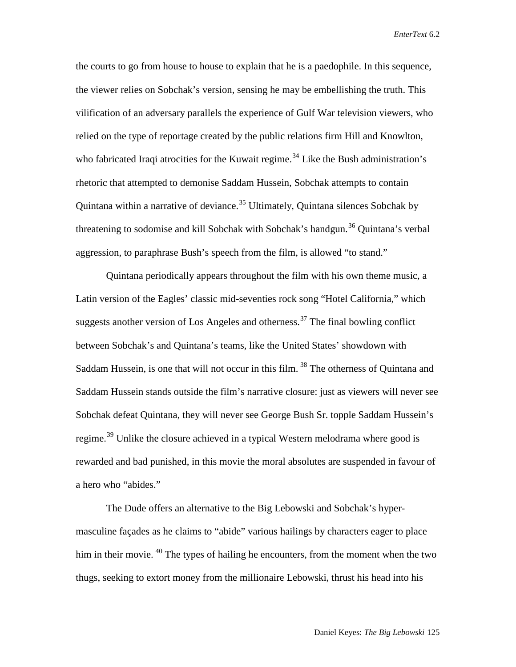the courts to go from house to house to explain that he is a paedophile. In this sequence, the viewer relies on Sobchak's version, sensing he may be embellishing the truth. This vilification of an adversary parallels the experience of Gulf War television viewers, who relied on the type of reportage created by the public relations firm Hill and Knowlton, who fabricated Iraqi atrocities for the Kuwait regime.<sup>[34](#page-24-22)</sup> Like the Bush administration's rhetoric that attempted to demonise Saddam Hussein, Sobchak attempts to contain Quintana within a narrative of deviance.<sup>[35](#page-24-23)</sup> Ultimately, Quintana silences Sobchak by threatening to sodomise and kill Sobchak with Sobchak's handgun.<sup>[36](#page-24-24)</sup> Quintana's verbal aggression, to paraphrase Bush's speech from the film, is allowed "to stand."

Quintana periodically appears throughout the film with his own theme music, a Latin version of the Eagles' classic mid-seventies rock song "Hotel California," which suggests another version of Los Angeles and otherness.<sup>[37](#page-24-25)</sup> The final bowling conflict between Sobchak's and Quintana's teams, like the United States' showdown with Saddam Hussein, is one that will not occur in this film.<sup>[38](#page-24-26)</sup> The otherness of Quintana and Saddam Hussein stands outside the film's narrative closure: just as viewers will never see Sobchak defeat Quintana, they will never see George Bush Sr. topple Saddam Hussein's regime.<sup>[39](#page-24-15)</sup> Unlike the closure achieved in a typical Western melodrama where good is rewarded and bad punished, in this movie the moral absolutes are suspended in favour of a hero who "abides."

The Dude offers an alternative to the Big Lebowski and Sobchak's hypermasculine façades as he claims to "abide" various hailings by characters eager to place him in their movie. <sup>[40](#page-24-16)</sup> The types of hailing he encounters, from the moment when the two thugs, seeking to extort money from the millionaire Lebowski, thrust his head into his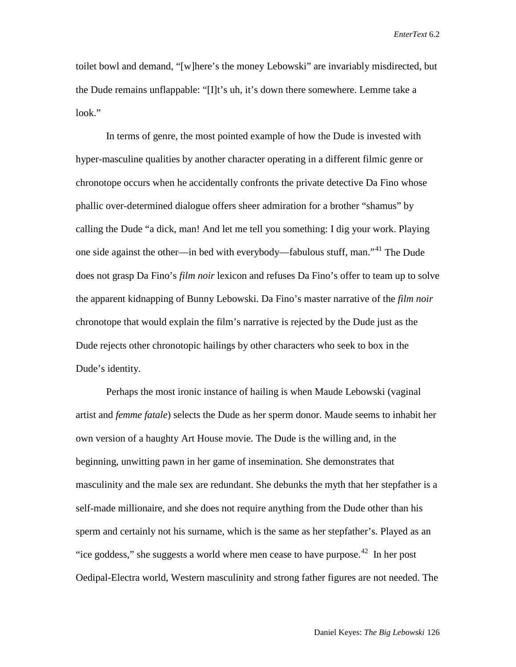toilet bowl and demand, "[w]here's the money Lebowski" are invariably misdirected, but the Dude remains unflappable: "[I]t's uh, it's down there somewhere. Lemme take a look."

In terms of genre, the most pointed example of how the Dude is invested with hyper-masculine qualities by another character operating in a different filmic genre or chronotope occurs when he accidentally confronts the private detective Da Fino whose phallic over-determined dialogue offers sheer admiration for a brother "shamus" by calling the Dude "a dick, man! And let me tell you something: I dig your work. Playing one side against the other—in bed with everybody—fabulous stuff, man."<sup>[41](#page-24-27)</sup> The Dude does not grasp Da Fino's *film noir* lexicon and refuses Da Fino's offer to team up to solve the apparent kidnapping of Bunny Lebowski. Da Fino's master narrative of the *film noir* chronotope that would explain the film's narrative is rejected by the Dude just as the Dude rejects other chronotopic hailings by other characters who seek to box in the Dude's identity.

Perhaps the most ironic instance of hailing is when Maude Lebowski (vaginal artist and *femme fatale*) selects the Dude as her sperm donor. Maude seems to inhabit her own version of a haughty Art House movie. The Dude is the willing and, in the beginning, unwitting pawn in her game of insemination. She demonstrates that masculinity and the male sex are redundant. She debunks the myth that her stepfather is a self-made millionaire, and she does not require anything from the Dude other than his sperm and certainly not his surname, which is the same as her stepfather's. Played as an "ice goddess," she suggests a world where men cease to have purpose.<sup>42</sup> In her post Oedipal-Electra world, Western masculinity and strong father figures are not needed. The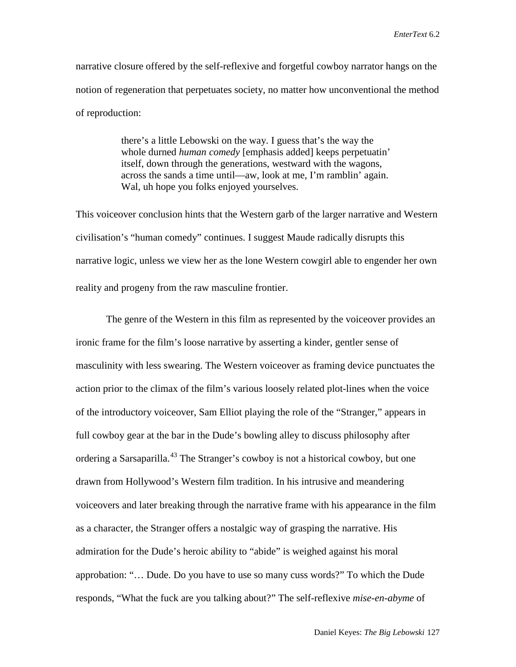narrative closure offered by the self-reflexive and forgetful cowboy narrator hangs on the notion of regeneration that perpetuates society, no matter how unconventional the method of reproduction:

> there's a little Lebowski on the way. I guess that's the way the whole durned *human comedy* [emphasis added] keeps perpetuatin' itself, down through the generations, westward with the wagons, across the sands a time until—aw, look at me, I'm ramblin' again. Wal, uh hope you folks enjoyed yourselves.

This voiceover conclusion hints that the Western garb of the larger narrative and Western civilisation's "human comedy" continues. I suggest Maude radically disrupts this narrative logic, unless we view her as the lone Western cowgirl able to engender her own reality and progeny from the raw masculine frontier.

The genre of the Western in this film as represented by the voiceover provides an ironic frame for the film's loose narrative by asserting a kinder, gentler sense of masculinity with less swearing. The Western voiceover as framing device punctuates the action prior to the climax of the film's various loosely related plot-lines when the voice of the introductory voiceover, Sam Elliot playing the role of the "Stranger," appears in full cowboy gear at the bar in the Dude's bowling alley to discuss philosophy after ordering a Sarsaparilla.<sup>[43](#page-24-29)</sup> The Stranger's cowboy is not a historical cowboy, but one drawn from Hollywood's Western film tradition. In his intrusive and meandering voiceovers and later breaking through the narrative frame with his appearance in the film as a character, the Stranger offers a nostalgic way of grasping the narrative. His admiration for the Dude's heroic ability to "abide" is weighed against his moral approbation: "… Dude. Do you have to use so many cuss words?" To which the Dude responds, "What the fuck are you talking about?" The self-reflexive *mise-en-abyme* of

Daniel Keyes: *The Big Lebowski* 127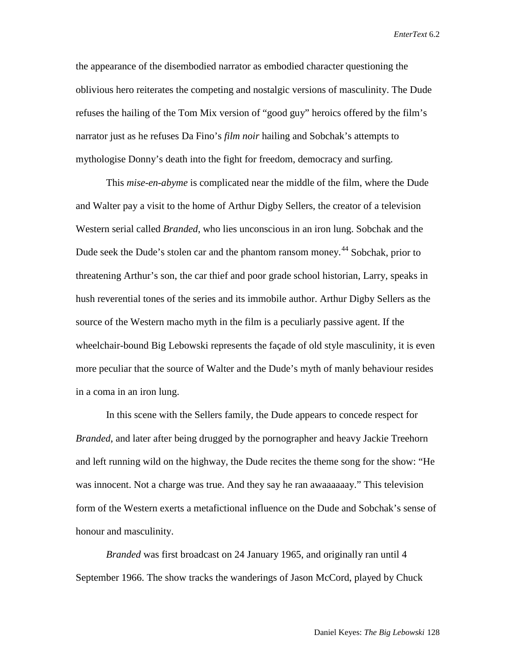the appearance of the disembodied narrator as embodied character questioning the oblivious hero reiterates the competing and nostalgic versions of masculinity. The Dude refuses the hailing of the Tom Mix version of "good guy" heroics offered by the film's narrator just as he refuses Da Fino's *film noir* hailing and Sobchak's attempts to mythologise Donny's death into the fight for freedom, democracy and surfing.

This *mise-en-abyme* is complicated near the middle of the film, where the Dude and Walter pay a visit to the home of Arthur Digby Sellers, the creator of a television Western serial called *Branded*, who lies unconscious in an iron lung. Sobchak and the Dude seek the Dude's stolen car and the phantom ransom money.<sup>[44](#page-24-8)</sup> Sobchak, prior to threatening Arthur's son, the car thief and poor grade school historian, Larry, speaks in hush reverential tones of the series and its immobile author. Arthur Digby Sellers as the source of the Western macho myth in the film is a peculiarly passive agent. If the wheelchair-bound Big Lebowski represents the façade of old style masculinity, it is even more peculiar that the source of Walter and the Dude's myth of manly behaviour resides in a coma in an iron lung.

In this scene with the Sellers family, the Dude appears to concede respect for *Branded*, and later after being drugged by the pornographer and heavy Jackie Treehorn and left running wild on the highway, the Dude recites the theme song for the show: "He was innocent. Not a charge was true. And they say he ran awaaaaaay." This television form of the Western exerts a metafictional influence on the Dude and Sobchak's sense of honour and masculinity.

*Branded* was first broadcast on 24 January 1965, and originally ran until 4 September 1966. The show tracks the wanderings of Jason McCord, played by Chuck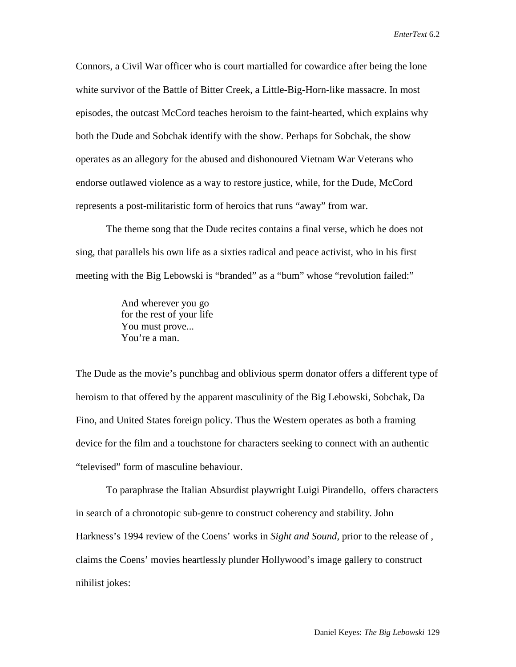Connors, a Civil War officer who is court martialled for cowardice after being the lone white survivor of the Battle of Bitter Creek, a Little-Big-Horn-like massacre. In most episodes, the outcast McCord teaches heroism to the faint-hearted, which explains why both the Dude and Sobchak identify with the show. Perhaps for Sobchak, the show operates as an allegory for the abused and dishonoured Vietnam War Veterans who endorse outlawed violence as a way to restore justice, while, for the Dude, McCord represents a post-militaristic form of heroics that runs "away" from war.

The theme song that the Dude recites contains a final verse, which he does not sing, that parallels his own life as a sixties radical and peace activist, who in his first meeting with the Big Lebowski is "branded" as a "bum" whose "revolution failed:"

> And wherever you go for the rest of your life You must prove... You're a man.

The Dude as the movie's punchbag and oblivious sperm donator offers a different type of heroism to that offered by the apparent masculinity of the Big Lebowski, Sobchak, Da Fino, and United States foreign policy. Thus the Western operates as both a framing device for the film and a touchstone for characters seeking to connect with an authentic "televised" form of masculine behaviour.

To paraphrase the Italian Absurdist playwright Luigi Pirandello, offers characters in search of a chronotopic sub-genre to construct coherency and stability. John Harkness's 1994 review of the Coens' works in *Sight and Sound*, prior to the release of , claims the Coens' movies heartlessly plunder Hollywood's image gallery to construct nihilist jokes: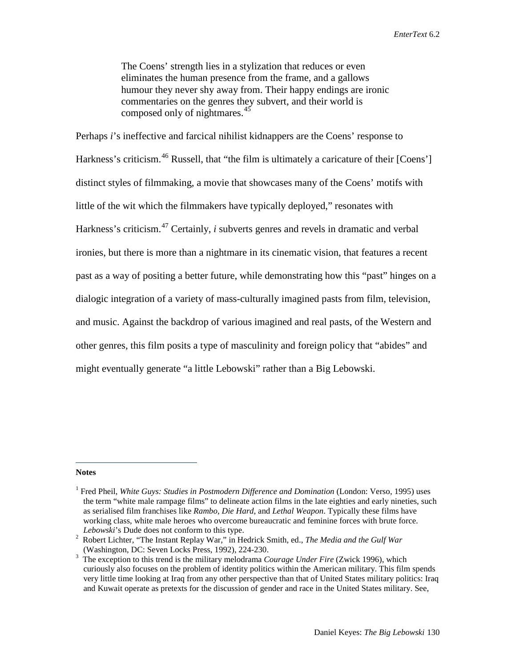The Coens' strength lies in a stylization that reduces or even eliminates the human presence from the frame, and a gallows humour they never shy away from. Their happy endings are ironic commentaries on the genres they subvert, and their world is composed only of nightmares.<sup>[45](#page-24-30)</sup>

Perhaps *i*'s ineffective and farcical nihilist kidnappers are the Coens' response to Harkness's criticism.<sup>[46](#page-24-11)</sup> Russell, that "the film is ultimately a caricature of their [Coens'] distinct styles of filmmaking, a movie that showcases many of the Coens' motifs with little of the wit which the filmmakers have typically deployed," resonates with Harkness's criticism.<sup>[47](#page-24-24)</sup> Certainly, *i* subverts genres and revels in dramatic and verbal ironies, but there is more than a nightmare in its cinematic vision, that features a recent past as a way of positing a better future, while demonstrating how this "past" hinges on a dialogic integration of a variety of mass-culturally imagined pasts from film, television, and music. Against the backdrop of various imagined and real pasts, of the Western and other genres, this film posits a type of masculinity and foreign policy that "abides" and might eventually generate "a little Lebowski" rather than a Big Lebowski.

## **Notes**

 $\overline{a}$ 

<sup>&</sup>lt;sup>1</sup> Fred Pheil, *White Guys: Studies in Postmodern Difference and Domination* (London: Verso, 1995) uses the term "white male rampage films" to delineate action films in the late eighties and early nineties, such as serialised film franchises like *Rambo*, *Die Hard*, and *Lethal Weapon*. Typically these films have working class, white male heroes who overcome bureaucratic and feminine forces with brute force.

*Lebowski*'s Dude does not conform to this type. 2 Robert Lichter, "The Instant Replay War," in Hedrick Smith, ed., *The Media and the Gulf War* (Washington, DC: Seven Locks Press, 1992), 224-230. <sup>3</sup>

<sup>&</sup>lt;sup>3</sup> The exception to this trend is the military melodrama *Courage Under Fire* (Zwick 1996), which curiously also focuses on the problem of identity politics within the American military. This film spends very little time looking at Iraq from any other perspective than that of United States military politics: Iraq and Kuwait operate as pretexts for the discussion of gender and race in the United States military. See,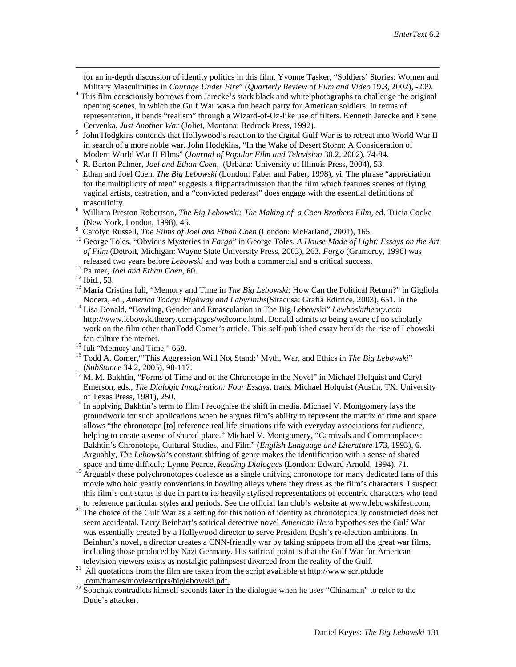for an in-depth discussion of identity politics in this film, Yvonne Tasker, "Soldiers' Stories: Women and Military Masculinities in Courage Under Fire" (Quarterly Review of Film and Video 19.3, 2002), -209.<br><sup>4</sup> This film consciously borrows from Jarecke's stark black and white photographs to challenge the original

- opening scenes, in which the Gulf War was a fun beach party for American soldiers. In terms of representation, it bends "realism" through a Wizard-of-Oz-like use of filters. Kenneth Jarecke and Exene Cervenka, *Just Another War* (Joliet, Montana: Bedrock Press, 1992).<br><sup>5</sup> John Hodelring contands that Hollywood's reaction to the digital Gulf
- John Hodgkins contends that Hollywood's reaction to the digital Gulf War is to retreat into World War II in search of a more noble war. John Hodgkins, "In the Wake of Desert Storm: A Consideration of Modern World War II Films" (*Journal of Popular Film and Television* 30.2, 2002), 74-84. <sup>6</sup>
- <sup>o</sup> R. Barton Palmer, *Joel and Ethan Coen*, (Urbana: University of Illinois Press, 2004), 53.<br><sup>7</sup> Ethan and Joel Coen, *The Big Lebowski* (London: Esber and Esber, 1008), vi. The phrase i
- Ethan and Joel Coen, *The Big Lebowski* (London: Faber and Faber, 1998), vi. The phrase "appreciation for the multiplicity of men" suggests a flippantadmission that the film which features scenes of flying vaginal artists, castration, and a "convicted pederast" does engage with the essential definitions of masculinity.<br><sup>8</sup> William Pros
- William Preston Robertson, *The Big Lebowski: The Making of a Coen Brothers Film,* ed. Tricia Cooke
- $\frac{1}{9}$  Carolyn Russell, *The Films of Joel and Ethan Coen* (London: McFarland, 2001), 165.
- <sup>10</sup> George Toles, "Obvious Mysteries in *Fargo*" in George Toles, *A House Made of Light: Essays on the Art of Film* (Detroit, Michigan: Wayne State University Press, 2003), 263. *Fargo* (Gramercy, 1996) was
- 
- 

 $\overline{a}$ 

- released two years before *Lebowski* and was both a commercial and a critical success.<br><sup>11</sup> Palmer, *Joel and Ethan Coen*, 60.<br><sup>12</sup> Ibid., 53.<br><sup>13</sup> Maria Cristina Iuli, "Memory and Time in *The Big Lebowski*: How Can the P
- Nocera, ed., *America Today: Highway and Labyrinths*(Siracusa: Grafià Editrice, 2003), 651. In the <sup>14</sup> Lisa Donald, "Bowling, Gender and Emasculation in The Big Lebowski" *Lewboskitheory.com* http://www.lebowskitheory.com/pages/welcome.html. Donald admits to being aware of no scholarly work on the film other thanTodd Comer's article. This self-published essay heralds the rise of Lebowski
- 
- <sup>15</sup> Iuli "Memory and Time," 658.<br><sup>16</sup> Todd A. Comer, "This Aggression Will Not Stand:' Myth, War, and Ethics in *The Big Lebowski*" (*SubStance* 34.2, 2005), 98-117.
- <sup>17</sup> M. M. Bakhtin, "Forms of Time and of the Chronotope in the Novel" in Michael Holquist and Caryl Emerson, eds., *The Dialogic Imagination: Four Essays,* trans. Michael Holquist (Austin, TX: University
- $18$  In applying Bakhtin's term to film I recognise the shift in media. Michael V. Montgomery lays the groundwork for such applications when he argues film's ability to represent the matrix of time and space allows "the chronotope [to] reference real life situations rife with everyday associations for audience, helping to create a sense of shared place." Michael V. Montgomery, "Carnivals and Commonplaces: Bakhtin's Chronotope, Cultural Studies, and Film" (*English Language and Literature* 173, 1993), 6. Arguably, *The Lebowski*'s constant shifting of genre makes the identification with a sense of shared space and time difficult; Lynne Pearce, *Reading Dialogues* (London: Edward Arnold, 1994), 71.
- <span id="page-22-0"></span><sup>19</sup> Arguably these polychronotopes coalesce as a single unifying chronotope for many dedicated fans of this movie who hold yearly conventions in bowling alleys where they dress as the film's characters. I suspect this film's cult status is due in part to its heavily stylised representations of eccentric characters who tend
- to reference particular styles and periods. See the official fan club's website at  $\underline{www.lebowskifest.com}$ .<br><sup>20</sup> The choice of the Gulf War as a setting for this notion of identity as chronotopically constructed does not seem accidental. Larry Beinhart's satirical detective novel *American Hero* hypothesises the Gulf War was essentially created by a Hollywood director to serve President Bush's re-election ambitions. In Beinhart's novel, a director creates a CNN-friendly war by taking snippets from all the great war films, including those produced by Nazi Germany. His satirical point is that the Gulf War for American
- <span id="page-22-1"></span>television viewers exists as nostalgic palimpsest divorced from the reality of the Gulf.<br><sup>21</sup> All quotations from the film are taken from the script available at http://www.scriptdude .com/frames/moviescripts/biglebowski.pdf.<br><sup>22</sup> Sobchak contradicts himself seconds later in the dialogue when he uses "Chinaman" to refer to the
- Dude's attacker.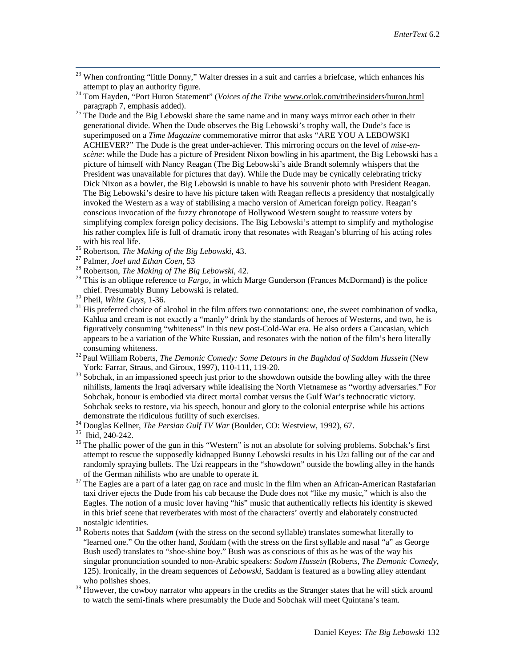- <sup>23</sup> When confronting "little Donny," Walter dresses in a suit and carries a briefcase, which enhances his
- <span id="page-23-1"></span>attempt to play an authority figure.<br><sup>24</sup> Tom Hayden, "Port Huron Statement" (*Voices of the Tribe* <u>www.orlok.com/tribe/insiders/huron.html</u> paragraph 7, emphasis added).
- <span id="page-23-3"></span><span id="page-23-2"></span><sup>25</sup> The Dude and the Big Lebowski share the same name and in many ways mirror each other in their generational divide. When the Dude observes the Big Lebowski's trophy wall, the Dude's face is superimposed on a *Time Magazine* commemorative mirror that asks "ARE YOU A LEBOWSKI ACHIEVER?" The Dude is the great under-achiever. This mirroring occurs on the level of *mise-enscène*: while the Dude has a picture of President Nixon bowling in his apartment, the Big Lebowski has a picture of himself with Nancy Reagan (The Big Lebowski's aide Brandt solemnly whispers that the President was unavailable for pictures that day). While the Dude may be cynically celebrating tricky Dick Nixon as a bowler, the Big Lebowski is unable to have his souvenir photo with President Reagan. The Big Lebowski's desire to have his picture taken with Reagan reflects a presidency that nostalgically invoked the Western as a way of stabilising a macho version of American foreign policy. Reagan's conscious invocation of the fuzzy chronotope of Hollywood Western sought to reassure voters by simplifying complex foreign policy decisions. The Big Lebowski's attempt to simplify and mythologise his rather complex life is full of dramatic irony that resonates with Reagan's blurring of his acting roles with his real life.<br><sup>26</sup> Robertson, *The Making of the Big Lebowski*, 43.<br><sup>27</sup> Palmer, *Joel and Ethan Coen*, 53<br><sup>28</sup> Robertson, *The Making of The Big Lebowski*, 42.
- 
- 
- 
- <sup>29</sup> This is an oblique reference to *Fargo*, in which Marge Gunderson (Frances McDormand) is the police chief. Presumably Bunny Lebowski is related.
- 
- <sup>30</sup> Pheil, *White Guys*, 1-36. **31** His preferred choice of alcohol in the film offers two connotations: one, the sweet combination of vodka, Kahlua and cream is not exactly a "manly" drink by the standards of heroes of Westerns, and two, he is figuratively consuming "whiteness" in this new post-Cold-War era. He also orders a Caucasian, which appears to be a variation of the White Russian, and resonates with the notion of the film's hero literally
- consuming whiteness.<br><sup>32</sup> Paul William Roberts, *The Demonic Comedy: Some Detours in the Baghdad of Saddam Hussein* (New<br>York: Farrar, Straus, and Giroux, 1997), 110-111, 119-20.
- $33$  Sobchak, in an impassioned speech just prior to the showdown outside the bowling alley with the three nihilists, laments the Iraqi adversary while idealising the North Vietnamese as "worthy adversaries." For Sobchak, honour is embodied via direct mortal combat versus the Gulf War's technocratic victory. Sobchak seeks to restore, via his speech, honour and glory to the colonial enterprise while his actions demonstrate the ridiculous futility of such exercises.<br><sup>34</sup> Douglas Kellner, *The Persian Gulf TV War* (Boulder, CO: Westview, 1992), 67.<br><sup>35</sup> Ibid, 240-242.<br><sup>36</sup> The phallic power of the gun in this "Western" is not an a
- 
- attempt to rescue the supposedly kidnapped Bunny Lebowski results in his Uzi falling out of the car and randomly spraying bullets. The Uzi reappears in the "showdown" outside the bowling alley in the hands
- of the German nihilists who are unable to operate it.<br><sup>37</sup> The Eagles are a part of a later gag on race and music in the film when an African-American Rastafarian taxi driver ejects the Dude from his cab because the Dude does not "like my music," which is also the Eagles. The notion of a music lover having "his" music that authentically reflects his identity is skewed in this brief scene that reverberates with most of the characters' overtly and elaborately constructed
- nostalgic identities. 38 Roberts notes that Sad*dam* (with the stress on the second syllable) translates somewhat literally to "learned one." On the other hand, *Sad*dam (with the stress on the first syllable and nasal "a" as George Bush used) translates to "shoe-shine boy." Bush was as conscious of this as he was of the way his singular pronunciation sounded to non-Arabic speakers: *Sodom Hussein* (Roberts, *The Demonic Comedy*, 125). Ironically, in the dream sequences of *Lebowski*, Saddam is featured as a bowling alley attendant who polishes shoes.
- <span id="page-23-0"></span><sup>39</sup> However, the cowboy narrator who appears in the credits as the Stranger states that he will stick around to watch the semi-finals where presumably the Dude and Sobchak will meet Quintana's team.